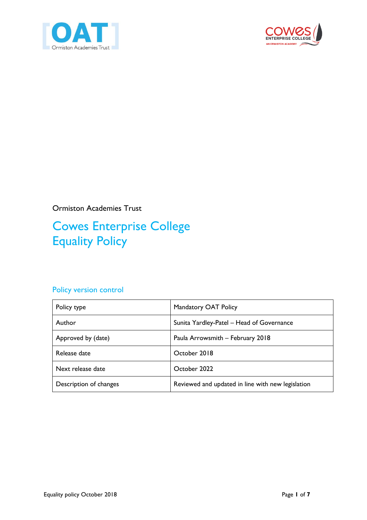



Ormiston Academies Trust

# Cowes Enterprise College Equality Policy

### Policy version control

| Policy type            | Mandatory OAT Policy                              |
|------------------------|---------------------------------------------------|
| Author                 | Sunita Yardley-Patel - Head of Governance         |
| Approved by (date)     | Paula Arrowsmith - February 2018                  |
| Release date           | October 2018                                      |
| Next release date      | October 2022                                      |
| Description of changes | Reviewed and updated in line with new legislation |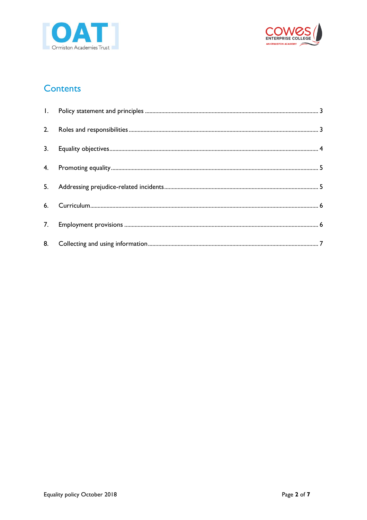



### **Contents**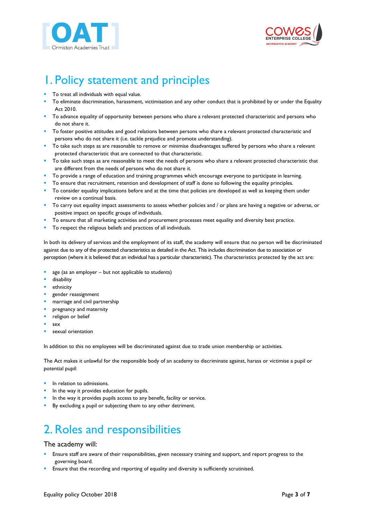



## <span id="page-2-0"></span>1. Policy statement and principles

- To treat all individuals with equal value.
- To eliminate discrimination, harassment, victimisation and any other conduct that is prohibited by or under the Equality Act 2010.
- To advance equality of opportunity between persons who share a relevant protected characteristic and persons who do not share it.
- To foster positive attitudes and good relations between persons who share a relevant protected characteristic and persons who do not share it (i.e. tackle prejudice and promote understanding).
- **■** To take such steps as are reasonable to remove or minimise disadvantages suffered by persons who share a relevant protected characteristic that are connected to that characteristic.
- **T** To take such steps as are reasonable to meet the needs of persons who share a relevant protected characteristic that are different from the needs of persons who do not share it.
- To provide a range of education and training programmes which encourage everyone to participate in learning.
- To ensure that recruitment, retention and development of staff is done so following the equality principles.
- To consider equality implications before and at the time that policies are developed as well as keeping them under review on a continual basis.
- To carry out equality impact assessments to assess whether policies and / or plans are having a negative or adverse, or positive impact on specific groups of individuals.
- To ensure that all marketing activities and procurement processes meet equality and diversity best practice.
- To respect the religious beliefs and practices of all individuals.

In both its delivery of services and the employment of its staff, the academy will ensure that no person will be discriminated against due to any of the protected characteristics as detailed in the Act. This includes discrimination due to association or perception (where it is believed that an individual has a particular characteristic). The characteristics protected by the act are:

- age (as an employer  $-$  but not applicable to students)
- disability
- ethnicity
- gender reassignment
- marriage and civil partnership
- pregnancy and maternity
- religion or belief
- sex
- sexual orientation

In addition to this no employees will be discriminated against due to trade union membership or activities.

The Act makes it unlawful for the responsible body of an academy to discriminate against, harass or victimise a pupil or potential pupil:

- In relation to admissions.
- In the way it provides education for pupils.
- In the way it provides pupils access to any benefit, facility or service.
- By excluding a pupil or subjecting them to any other detriment.

## <span id="page-2-1"></span>2. Roles and responsibilities

#### The academy will:

- Ensure staff are aware of their responsibilities, given necessary training and support, and report progress to the governing board.
- Ensure that the recording and reporting of equality and diversity is sufficiently scrutinised.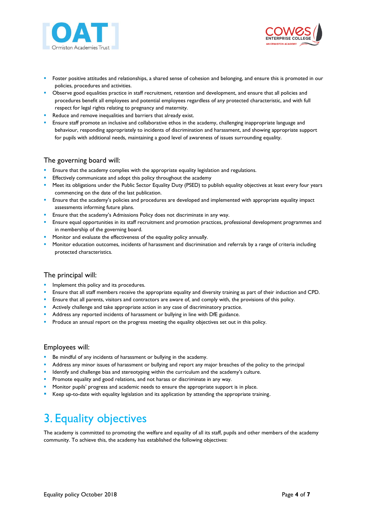



- Foster positive attitudes and relationships, a shared sense of cohesion and belonging, and ensure this is promoted in our policies, procedures and activities.
- Observe good equalities practice in staff recruitment, retention and development, and ensure that all policies and procedures benefit all employees and potential employees regardless of any protected characteristic, and with full respect for legal rights relating to pregnancy and maternity.
- Reduce and remove inequalities and barriers that already exist.
- Ensure staff promote an inclusive and collaborative ethos in the academy, challenging inappropriate language and behaviour, responding appropriately to incidents of discrimination and harassment, and showing appropriate support for pupils with additional needs, maintaining a good level of awareness of issues surrounding equality.

#### The governing board will:

- **E** Ensure that the academy complies with the appropriate equality legislation and regulations.
- Effectively communicate and adopt this policy throughout the academy
- **■** Meet its obligations under the Public Sector Equality Duty (PSED) to publish equality objectives at least every four years commencing on the date of the last publication.
- **Ensure that the academy's policies and procedures are developed and implemented with appropriate equality impact** assessments informing future plans.
- **Ensure that the academy's Admissions Policy does not discriminate in any way.**
- **Ensure equal opportunities in its staff recruitment and promotion practices, professional development programmes and** in membership of the governing board.
- **•** Monitor and evaluate the effectiveness of the equality policy annually.
- Monitor education outcomes, incidents of harassment and discrimination and referrals by a range of criteria including protected characteristics.

#### The principal will:

- **·** Implement this policy and its procedures.
- **E** Ensure that all staff members receive the appropriate equality and diversity training as part of their induction and CPD.
- **E** Ensure that all parents, visitors and contractors are aware of, and comply with, the provisions of this policy.
- **E** Actively challenge and take appropriate action in any case of discriminatory practice.
- Address any reported incidents of harassment or bullying in line with DfE guidance.
- Produce an annual report on the progress meeting the equality objectives set out in this policy.

#### Employees will:

- Be mindful of any incidents of harassment or bullying in the academy.
- **•** Address any minor issues of harassment or bullying and report any major breaches of the policy to the principal
- **■** Identify and challenge bias and stereotyping within the curriculum and the academy's culture.
- **•** Promote equality and good relations, and not harass or discriminate in any way.
- Monitor pupils' progress and academic needs to ensure the appropriate support is in place.
- Keep up-to-date with equality legislation and its application by attending the appropriate training.

## <span id="page-3-0"></span>3. Equality objectives

The academy is committed to promoting the welfare and equality of all its staff, pupils and other members of the academy community. To achieve this, the academy has established the following objectives: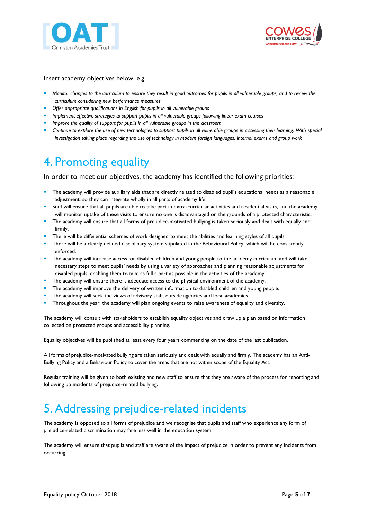



#### Insert academy objectives below, e.g.

- *Monitor changes to the curriculum to ensure they result in good outcomes for pupils in all vulnerable groups, and to review the curriculum considering new performance measures*
- Offer appropriate qualifications in English for pupils in all vulnerable groups
- *Implement effective strategies to support pupils in all vulnerable groups following linear exam courses*
- *Improve the quality of support for pupils in all vulnerable groups in the classroom*
- Continue to explore the use of new technologies to support pupils in all vulnerable groups in accessing their learning. With special *investigation taking place regarding the use of technology in modern foreign languages, internal exams and group work*

### <span id="page-4-0"></span>4. Promoting equality

In order to meet our objectives, the academy has identified the following priorities:

- The academy will provide auxiliary aids that are directly related to disabled pupil's educational needs as a reasonable adjustment, so they can integrate wholly in all parts of academy life.
- Staff will ensure that all pupils are able to take part in extra-curricular activities and residential visits, and the academy will monitor uptake of these visits to ensure no one is disadvantaged on the grounds of a protected characteristic.
- The academy will ensure that all forms of prejudice-motivated bullying is taken seriously and dealt with equally and firmly.
- There will be differential schemes of work designed to meet the abilities and learning styles of all pupils.
- There will be a clearly defined disciplinary system stipulated in the Behavioural Policy, which will be consistently enforced.
- The academy will increase access for disabled children and young people to the academy curriculum and will take necessary steps to meet pupils' needs by using a variety of approaches and planning reasonable adjustments for disabled pupils, enabling them to take as full a part as possible in the activities of the academy.
- The academy will ensure there is adequate access to the physical environment of the academy.
- The academy will improve the delivery of written information to disabled children and young people.
- The academy will seek the views of advisory staff, outside agencies and local academies.
- Throughout the year, the academy will plan ongoing events to raise awareness of equality and diversity.

The academy will consult with stakeholders to establish equality objectives and draw up a plan based on information collected on protected groups and accessibility planning.

Equality objectives will be published at least every four years commencing on the date of the last publication.

All forms of prejudice-motivated bullying are taken seriously and dealt with equally and firmly. The academy has an Anti-Bullying Policy and a Behaviour Policy to cover the areas that are not within scope of the Equality Act.

Regular training will be given to both existing and new staff to ensure that they are aware of the process for reporting and following up incidents of prejudice-related bullying.

### <span id="page-4-1"></span>5. Addressing prejudice-related incidents

The academy is opposed to all forms of prejudice and we recognise that pupils and staff who experience any form of prejudice-related discrimination may fare less well in the education system.

The academy will ensure that pupils and staff are aware of the impact of prejudice in order to prevent any incidents from occurring.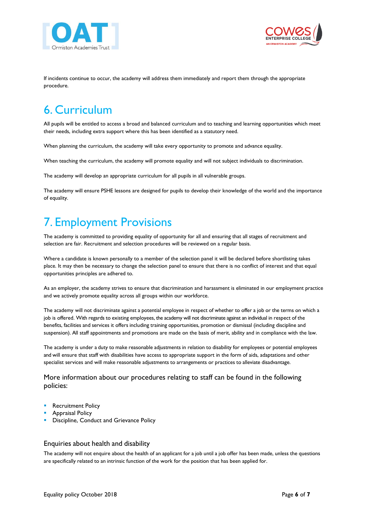



If incidents continue to occur, the academy will address them immediately and report them through the appropriate procedure.

# <span id="page-5-0"></span>6. Curriculum

All pupils will be entitled to access a broad and balanced curriculum and to teaching and learning opportunities which meet their needs, including extra support where this has been identified as a statutory need.

When planning the curriculum, the academy will take every opportunity to promote and advance equality.

When teaching the curriculum, the academy will promote equality and will not subject individuals to discrimination.

The academy will develop an appropriate curriculum for all pupils in all vulnerable groups.

The academy will ensure PSHE lessons are designed for pupils to develop their knowledge of the world and the importance of equality.

# <span id="page-5-1"></span>7. Employment Provisions

The academy is committed to providing equality of opportunity for all and ensuring that all stages of recruitment and selection are fair. Recruitment and selection procedures will be reviewed on a regular basis.

Where a candidate is known personally to a member of the selection panel it will be declared before shortlisting takes place. It may then be necessary to change the selection panel to ensure that there is no conflict of interest and that equal opportunities principles are adhered to.

As an employer, the academy strives to ensure that discrimination and harassment is eliminated in our employment practice and we actively promote equality across all groups within our workforce.

The academy will not discriminate against a potential employee in respect of whether to offer a job or the terms on which a job is offered. With regards to existing employees, the academy will not discriminate against an individual in respect of the benefits, facilities and services it offers including training opportunities, promotion or dismissal (including discipline and suspension). All staff appointments and promotions are made on the basis of merit, ability and in compliance with the law.

The academy is under a duty to make reasonable adjustments in relation to disability for employees or potential employees and will ensure that staff with disabilities have access to appropriate support in the form of aids, adaptations and other specialist services and will make reasonable adjustments to arrangements or practices to alleviate disadvantage.

More information about our procedures relating to staff can be found in the following policies:

- **Recruitment Policy**
- Appraisal Policy
- Discipline, Conduct and Grievance Policy

#### Enquiries about health and disability

The academy will not enquire about the health of an applicant for a job until a job offer has been made, unless the questions are specifically related to an intrinsic function of the work for the position that has been applied for.